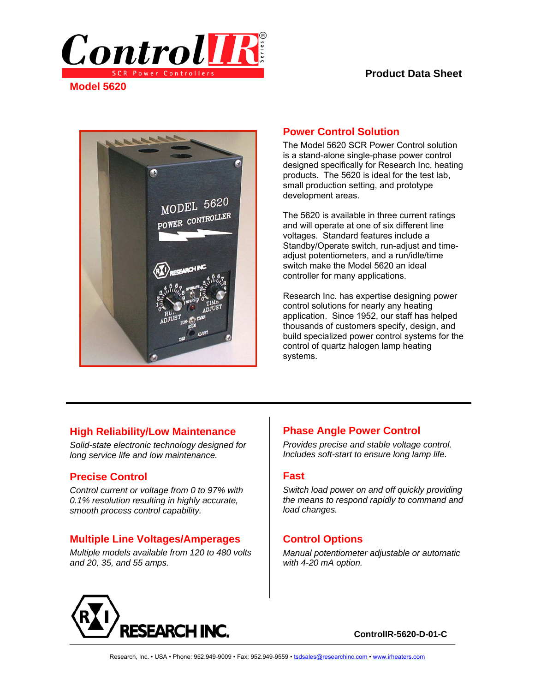

**Model 5620** 

### **Product Data Sheet**



### **Power Control Solution**

The Model 5620 SCR Power Control solution is a stand-alone single-phase power control designed specifically for Research Inc. heating products. The 5620 is ideal for the test lab, small production setting, and prototype development areas.

The 5620 is available in three current ratings and will operate at one of six different line voltages. Standard features include a Standby/Operate switch, run-adjust and timeadjust potentiometers, and a run/idle/time switch make the Model 5620 an ideal controller for many applications.

Research Inc. has expertise designing power control solutions for nearly any heating application. Since 1952, our staff has helped thousands of customers specify, design, and build specialized power control systems for the control of quartz halogen lamp heating systems.

## **High Reliability/Low Maintenance**

*Solid-state electronic technology designed for long service life and low maintenance.* 

## **Precise Control**

*Control current or voltage from 0 to 97% with 0.1% resolution resulting in highly accurate, smooth process control capability.* 

## **Multiple Line Voltages/Amperages**

*Multiple models available from 120 to 480 volts and 20, 35, and 55 amps.* 

# **Phase Angle Power Control**

*Provides precise and stable voltage control. Includes soft-start to ensure long lamp life.* 

#### **Fast**

*Switch load power on and off quickly providing the means to respond rapidly to command and load changes.* 

# **Control Options**

*Manual potentiometer adjustable or automatic with 4-20 mA option.* 



**ControlIR-5620-D-01-C**